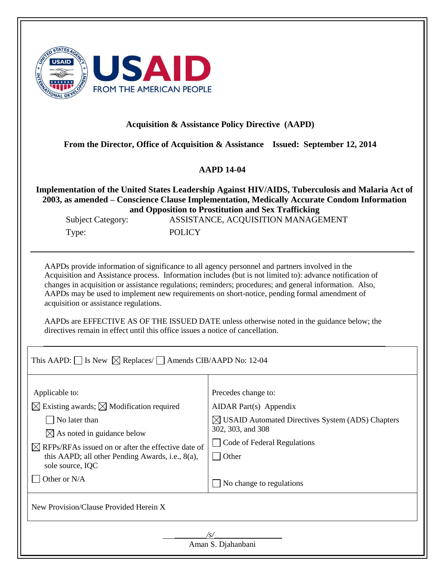| <b>FROM THE AMERICAN PEOPLE</b> |
|---------------------------------|
|---------------------------------|

#### **Acquisition & Assistance Policy Directive (AAPD)**

**From the Director, Office of Acquisition & Assistance Issued: September 12, 2014**

## **AAPD 14-04**

**Implementation of the United States Leadership Against HIV/AIDS, Tuberculosis and Malaria Act of 2003, as amended – Conscience Clause Implementation, Medically Accurate Condom Information and Opposition to Prostitution and Sex Trafficking**

Type: POLICY

Subject Category: ASSISTANCE, ACQUISITION MANAGEMENT

AAPDs provide information of significance to all agency personnel and partners involved in the Acquisition and Assistance process. Information includes (but is not limited to): advance notification of changes in acquisition or assistance regulations; reminders; procedures; and general information. Also, AAPDs may be used to implement new requirements on short-notice, pending formal amendment of acquisition or assistance regulations.

AAPDs are EFFECTIVE AS OF THE ISSUED DATE unless otherwise noted in the guidance below; the directives remain in effect until this office issues a notice of cancellation.

This AAPD:  $\Box$  Is New  $\boxtimes$  Replaces/  $\Box$  Amends CIB/AAPD No: 12-04

| Applicable to:                                                                                                                                               | Precedes change to:                                                               |
|--------------------------------------------------------------------------------------------------------------------------------------------------------------|-----------------------------------------------------------------------------------|
| $\boxtimes$ Existing awards; $\boxtimes$ Modification required                                                                                               | AIDAR Part(s) Appendix                                                            |
| No later than                                                                                                                                                | $\boxtimes$ USAID Automated Directives System (ADS) Chapters<br>302, 303, and 308 |
| $\boxtimes$ As noted in guidance below<br>$\boxtimes$ RFPs/RFAs issued on or after the effective date of<br>this AAPD; all other Pending Awards, i.e., 8(a), | Code of Federal Regulations<br>  Other                                            |
| sole source, IQC<br>Other or N/A                                                                                                                             | No change to regulations                                                          |
| New Provision/Clause Provided Herein X                                                                                                                       |                                                                                   |

 *\_\_\_\_\_\_\_\_/s/\_\_\_\_\_\_\_\_\_\_\_\_\_\_\_\_\_*  Aman S. Djahanbani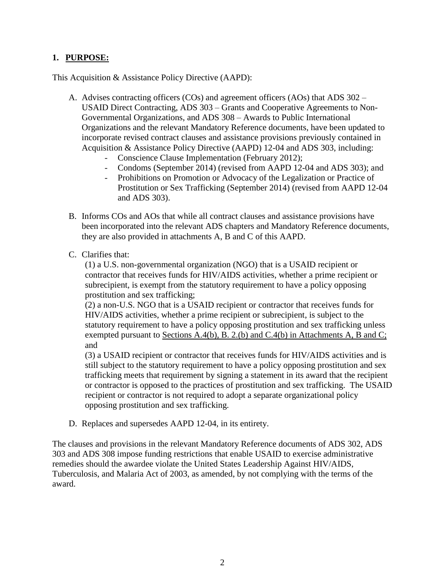# **1. PURPOSE:**

This Acquisition & Assistance Policy Directive (AAPD):

- A. Advises contracting officers (COs) and agreement officers (AOs) that ADS 302 USAID Direct Contracting, ADS 303 – Grants and Cooperative Agreements to Non-Governmental Organizations, and ADS 308 – Awards to Public International Organizations and the relevant Mandatory Reference documents, have been updated to incorporate revised contract clauses and assistance provisions previously contained in Acquisition & Assistance Policy Directive (AAPD) 12-04 and ADS 303, including:
	- Conscience Clause Implementation (February 2012);
	- Condoms (September 2014) (revised from AAPD 12-04 and ADS 303); and
	- Prohibitions on Promotion or Advocacy of the Legalization or Practice of Prostitution or Sex Trafficking (September 2014) (revised from AAPD 12-04 and ADS 303).
- B. Informs COs and AOs that while all contract clauses and assistance provisions have been incorporated into the relevant ADS chapters and Mandatory Reference documents, they are also provided in attachments A, B and C of this AAPD.
- C. Clarifies that:

(1) a U.S. non-governmental organization (NGO) that is a USAID recipient or contractor that receives funds for HIV/AIDS activities, whether a prime recipient or subrecipient, is exempt from the statutory requirement to have a policy opposing prostitution and sex trafficking;

(2) a non-U.S. NGO that is a USAID recipient or contractor that receives funds for HIV/AIDS activities, whether a prime recipient or subrecipient, is subject to the statutory requirement to have a policy opposing prostitution and sex trafficking unless exempted pursuant to Sections A.4(b), B. 2.(b) and C.4(b) in Attachments A, B and C; and

(3) a USAID recipient or contractor that receives funds for HIV/AIDS activities and is still subject to the statutory requirement to have a policy opposing prostitution and sex trafficking meets that requirement by signing a statement in its award that the recipient or contractor is opposed to the practices of prostitution and sex trafficking. The USAID recipient or contractor is not required to adopt a separate organizational policy opposing prostitution and sex trafficking.

D. Replaces and supersedes AAPD 12-04, in its entirety.

The clauses and provisions in the relevant Mandatory Reference documents of ADS 302, ADS 303 and ADS 308 impose funding restrictions that enable USAID to exercise administrative remedies should the awardee violate the United States Leadership Against HIV/AIDS, Tuberculosis, and Malaria Act of 2003, as amended, by not complying with the terms of the award.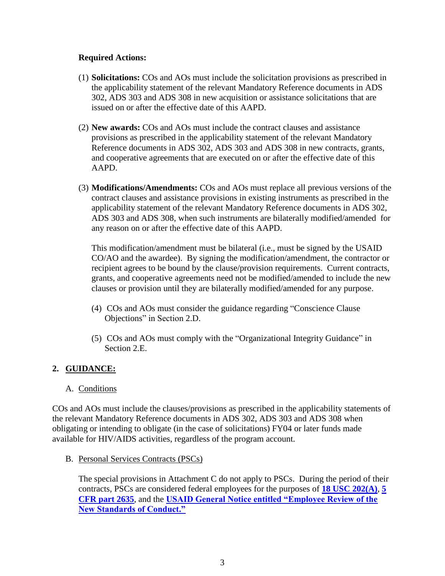#### **Required Actions:**

- (1) **Solicitations:** COs and AOs must include the solicitation provisions as prescribed in the applicability statement of the relevant Mandatory Reference documents in ADS 302, ADS 303 and ADS 308 in new acquisition or assistance solicitations that are issued on or after the effective date of this AAPD.
- (2) **New awards:** COs and AOs must include the contract clauses and assistance provisions as prescribed in the applicability statement of the relevant Mandatory Reference documents in ADS 302, ADS 303 and ADS 308 in new contracts, grants, and cooperative agreements that are executed on or after the effective date of this AAPD.
- (3) **Modifications/Amendments:** COs and AOs must replace all previous versions of the contract clauses and assistance provisions in existing instruments as prescribed in the applicability statement of the relevant Mandatory Reference documents in ADS 302, ADS 303 and ADS 308, when such instruments are bilaterally modified/amended for any reason on or after the effective date of this AAPD.

This modification/amendment must be bilateral (i.e., must be signed by the USAID CO/AO and the awardee). By signing the modification/amendment, the contractor or recipient agrees to be bound by the clause/provision requirements. Current contracts, grants, and cooperative agreements need not be modified/amended to include the new clauses or provision until they are bilaterally modified/amended for any purpose.

- (4) COs and AOs must consider the guidance regarding "Conscience Clause Objections" in Section 2.D.
- (5) COs and AOs must comply with the "Organizational Integrity Guidance" in Section 2.E.

## **2. GUIDANCE:**

## A. Conditions

COs and AOs must include the clauses/provisions as prescribed in the applicability statements of the relevant Mandatory Reference documents in ADS 302, ADS 303 and ADS 308 when obligating or intending to obligate (in the case of solicitations) FY04 or later funds made available for HIV/AIDS activities, regardless of the program account.

B. Personal Services Contracts (PSCs)

The special provisions in Attachment C do not apply to PSCs. During the period of their contracts, PSCs are considered federal employees for the purposes of **[18 USC 202\(A\)](http://frwebgate.access.gpo.gov/cgi-bin/getdoc.cgi?dbname=1994_uscode_suppl_4&docid=18usc202)**, **[5](http://ecfr.gpoaccess.gov/cgi/t/text/text-idx?c=ecfr&tpl=/ecfrbrowse/Title05/5cfr2635_main_02.tpl)  [CFR part 2635](http://ecfr.gpoaccess.gov/cgi/t/text/text-idx?c=ecfr&tpl=/ecfrbrowse/Title05/5cfr2635_main_02.tpl)**, and the **[USAID General Notice entitled "Employee Review of the](http://ecfr.gpoaccess.gov/cgi/t/text/text-idx?c=ecfr&sid=30a100aead005b38ee2454fabf878079&rgn=div5&view=text&node=48:5.0.1.8.34&idno=48)  [New Standards of Conduct."](http://ecfr.gpoaccess.gov/cgi/t/text/text-idx?c=ecfr&sid=30a100aead005b38ee2454fabf878079&rgn=div5&view=text&node=48:5.0.1.8.34&idno=48)**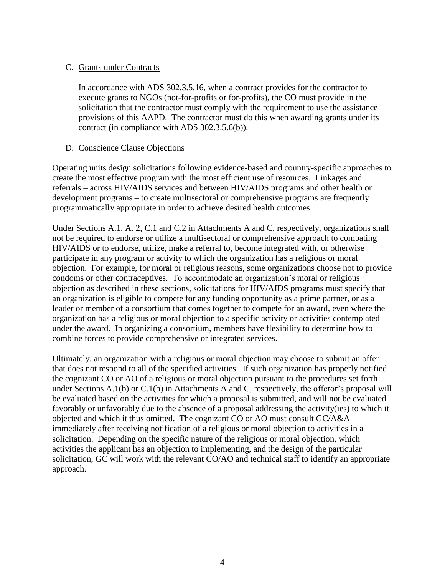## C. Grants under Contracts

In accordance with ADS 302.3.5.16, when a contract provides for the contractor to execute grants to NGOs (not-for-profits or for-profits), the CO must provide in the solicitation that the contractor must comply with the requirement to use the assistance provisions of this AAPD. The contractor must do this when awarding grants under its contract (in compliance with ADS 302.3.5.6(b)).

# D. Conscience Clause Objections

Operating units design solicitations following evidence-based and country-specific approaches to create the most effective program with the most efficient use of resources. Linkages and referrals – across HIV/AIDS services and between HIV/AIDS programs and other health or development programs – to create multisectoral or comprehensive programs are frequently programmatically appropriate in order to achieve desired health outcomes.

Under Sections A.1, A. 2, C.1 and C.2 in Attachments A and C, respectively, organizations shall not be required to endorse or utilize a multisectoral or comprehensive approach to combating HIV/AIDS or to endorse, utilize, make a referral to, become integrated with, or otherwise participate in any program or activity to which the organization has a religious or moral objection. For example, for moral or religious reasons, some organizations choose not to provide condoms or other contraceptives. To accommodate an organization's moral or religious objection as described in these sections, solicitations for HIV/AIDS programs must specify that an organization is eligible to compete for any funding opportunity as a prime partner, or as a leader or member of a consortium that comes together to compete for an award, even where the organization has a religious or moral objection to a specific activity or activities contemplated under the award. In organizing a consortium, members have flexibility to determine how to combine forces to provide comprehensive or integrated services.

Ultimately, an organization with a religious or moral objection may choose to submit an offer that does not respond to all of the specified activities. If such organization has properly notified the cognizant CO or AO of a religious or moral objection pursuant to the procedures set forth under Sections A.1(b) or C.1(b) in Attachments A and C, respectively, the offeror's proposal will be evaluated based on the activities for which a proposal is submitted, and will not be evaluated favorably or unfavorably due to the absence of a proposal addressing the activity(ies) to which it objected and which it thus omitted. The cognizant CO or AO must consult GC/A&A immediately after receiving notification of a religious or moral objection to activities in a solicitation. Depending on the specific nature of the religious or moral objection, which activities the applicant has an objection to implementing, and the design of the particular solicitation, GC will work with the relevant CO/AO and technical staff to identify an appropriate approach.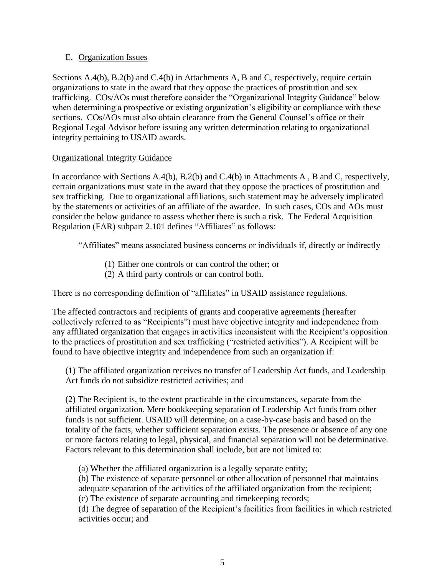#### E. Organization Issues

Sections A.4(b), B.2(b) and C.4(b) in Attachments A, B and C, respectively, require certain organizations to state in the award that they oppose the practices of prostitution and sex trafficking. COs/AOs must therefore consider the "Organizational Integrity Guidance" below when determining a prospective or existing organization's eligibility or compliance with these sections. COs/AOs must also obtain clearance from the General Counsel's office or their Regional Legal Advisor before issuing any written determination relating to organizational integrity pertaining to USAID awards.

#### Organizational Integrity Guidance

In accordance with Sections A.4(b), B.2(b) and C.4(b) in Attachments A , B and C, respectively, certain organizations must state in the award that they oppose the practices of prostitution and sex trafficking. Due to organizational affiliations, such statement may be adversely implicated by the statements or activities of an affiliate of the awardee. In such cases, COs and AOs must consider the below guidance to assess whether there is such a risk. The Federal Acquisition Regulation (FAR) subpart 2.101 defines "Affiliates" as follows:

"Affiliates" means associated business concerns or individuals if, directly or indirectly—

- (1) Either one controls or can control the other; or
- (2) A third party controls or can control both.

There is no corresponding definition of "affiliates" in USAID assistance regulations.

The affected contractors and recipients of grants and cooperative agreements (hereafter collectively referred to as "Recipients") must have objective integrity and independence from any affiliated organization that engages in activities inconsistent with the Recipient's opposition to the practices of prostitution and sex trafficking ("restricted activities"). A Recipient will be found to have objective integrity and independence from such an organization if:

(1) The affiliated organization receives no transfer of Leadership Act funds, and Leadership Act funds do not subsidize restricted activities; and

(2) The Recipient is, to the extent practicable in the circumstances, separate from the affiliated organization. Mere bookkeeping separation of Leadership Act funds from other funds is not sufficient. USAID will determine, on a case-by-case basis and based on the totality of the facts, whether sufficient separation exists. The presence or absence of any one or more factors relating to legal, physical, and financial separation will not be determinative. Factors relevant to this determination shall include, but are not limited to:

(a) Whether the affiliated organization is a legally separate entity;

(b) The existence of separate personnel or other allocation of personnel that maintains adequate separation of the activities of the affiliated organization from the recipient;

(c) The existence of separate accounting and timekeeping records;

(d) The degree of separation of the Recipient's facilities from facilities in which restricted activities occur; and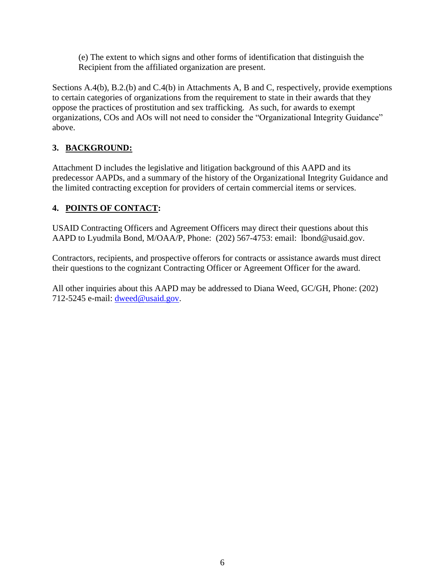(e) The extent to which signs and other forms of identification that distinguish the Recipient from the affiliated organization are present.

Sections A.4(b), B.2.(b) and C.4(b) in Attachments A, B and C, respectively, provide exemptions to certain categories of organizations from the requirement to state in their awards that they oppose the practices of prostitution and sex trafficking. As such, for awards to exempt organizations, COs and AOs will not need to consider the "Organizational Integrity Guidance" above.

# **3. BACKGROUND:**

Attachment D includes the legislative and litigation background of this AAPD and its predecessor AAPDs, and a summary of the history of the Organizational Integrity Guidance and the limited contracting exception for providers of certain commercial items or services.

# **4. POINTS OF CONTACT:**

USAID Contracting Officers and Agreement Officers may direct their questions about this AAPD to Lyudmila Bond, M/OAA/P, Phone: (202) 567-4753: email: lbond@usaid.gov.

Contractors, recipients, and prospective offerors for contracts or assistance awards must direct their questions to the cognizant Contracting Officer or Agreement Officer for the award.

All other inquiries about this AAPD may be addressed to Diana Weed, GC/GH, Phone: (202) 712-5245 e-mail: [dweed@usaid.gov.](mailto:dweed@usaid.gov)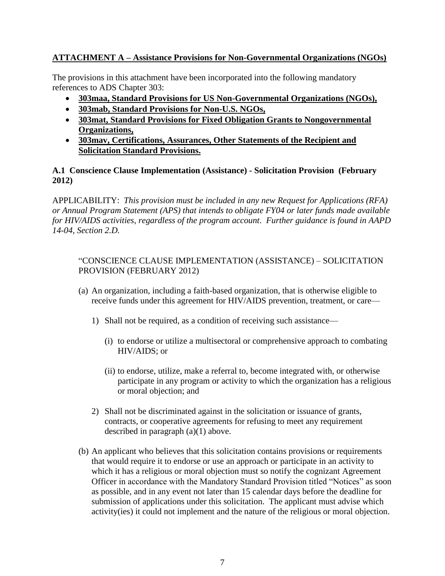# **ATTACHMENT A – Assistance Provisions for Non-Governmental Organizations (NGOs)**

The provisions in this attachment have been incorporated into the following mandatory references to ADS Chapter 303:

- **303maa, Standard Provisions for US Non-Governmental Organizations (NGOs),**
- **303mab, Standard Provisions for Non-U.S. NGOs,**
- **303mat, Standard Provisions for Fixed Obligation Grants to Nongovernmental Organizations,**
- **303mav, Certifications, Assurances, Other Statements of the Recipient and Solicitation Standard Provisions.**

### **A.1 Conscience Clause Implementation (Assistance) - Solicitation Provision (February 2012)**

APPLICABILITY: *This provision must be included in any new Request for Applications (RFA) or Annual Program Statement (APS) that intends to obligate FY04 or later funds made available for HIV/AIDS activities, regardless of the program account*. *Further guidance is found in AAPD 14-04, Section 2.D.*

# "CONSCIENCE CLAUSE IMPLEMENTATION (ASSISTANCE) – SOLICITATION PROVISION (FEBRUARY 2012)

- (a) An organization, including a faith-based organization, that is otherwise eligible to receive funds under this agreement for HIV/AIDS prevention, treatment, or care—
	- 1) Shall not be required, as a condition of receiving such assistance—
		- (i) to endorse or utilize a multisectoral or comprehensive approach to combating HIV/AIDS; or
		- (ii) to endorse, utilize, make a referral to, become integrated with, or otherwise participate in any program or activity to which the organization has a religious or moral objection; and
	- 2) Shall not be discriminated against in the solicitation or issuance of grants, contracts, or cooperative agreements for refusing to meet any requirement described in paragraph (a)(1) above.
- (b) An applicant who believes that this solicitation contains provisions or requirements that would require it to endorse or use an approach or participate in an activity to which it has a religious or moral objection must so notify the cognizant Agreement Officer in accordance with the Mandatory Standard Provision titled "Notices" as soon as possible, and in any event not later than 15 calendar days before the deadline for submission of applications under this solicitation. The applicant must advise which activity(ies) it could not implement and the nature of the religious or moral objection.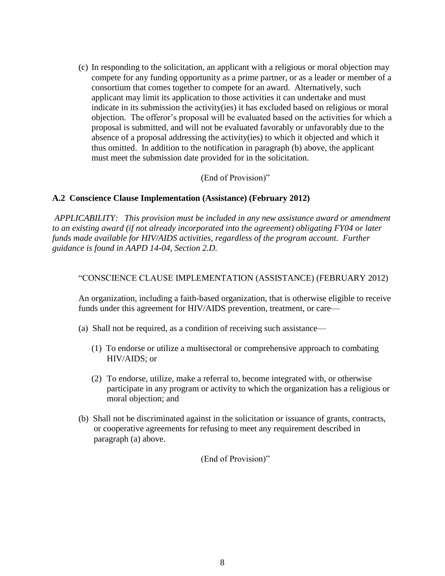(c) In responding to the solicitation, an applicant with a religious or moral objection may compete for any funding opportunity as a prime partner, or as a leader or member of a consortium that comes together to compete for an award. Alternatively, such applicant may limit its application to those activities it can undertake and must indicate in its submission the activity(ies) it has excluded based on religious or moral objection. The offeror's proposal will be evaluated based on the activities for which a proposal is submitted, and will not be evaluated favorably or unfavorably due to the absence of a proposal addressing the activity(ies) to which it objected and which it thus omitted. In addition to the notification in paragraph (b) above, the applicant must meet the submission date provided for in the solicitation.

(End of Provision)"

## **A.2 Conscience Clause Implementation (Assistance) (February 2012)**

*APPLICABILITY: This provision must be included in any new assistance award or amendment to an existing award (if not already incorporated into the agreement) obligating FY04 or later funds made available for HIV/AIDS activities, regardless of the program account. Further guidance is found in AAPD 14-04, Section 2.D.*

#### "CONSCIENCE CLAUSE IMPLEMENTATION (ASSISTANCE) (FEBRUARY 2012)

An organization, including a faith-based organization, that is otherwise eligible to receive funds under this agreement for HIV/AIDS prevention, treatment, or care—

- (a) Shall not be required, as a condition of receiving such assistance—
	- (1) To endorse or utilize a multisectoral or comprehensive approach to combating HIV/AIDS; or
	- (2) To endorse, utilize, make a referral to, become integrated with, or otherwise participate in any program or activity to which the organization has a religious or moral objection; and
- (b) Shall not be discriminated against in the solicitation or issuance of grants, contracts, or cooperative agreements for refusing to meet any requirement described in paragraph (a) above.

(End of Provision)"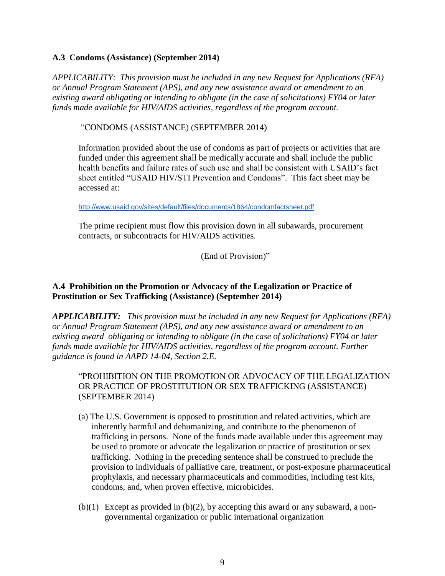#### **A.3 Condoms (Assistance) (September 2014)**

*APPLICABILITY: This provision must be included in any new Request for Applications (RFA) or Annual Program Statement (APS), and any new assistance award or amendment to an existing award obligating or intending to obligate (in the case of solicitations) FY04 or later funds made available for HIV/AIDS activities, regardless of the program account.* 

"CONDOMS (ASSISTANCE) (SEPTEMBER 2014)

Information provided about the use of condoms as part of projects or activities that are funded under this agreement shall be medically accurate and shall include the public health benefits and failure rates of such use and shall be consistent with USAID's fact sheet entitled "USAID HIV/STI Prevention and Condoms". This fact sheet may be accessed at:

<http://www.usaid.gov/sites/default/files/documents/1864/condomfactsheet.pdf>

The prime recipient must flow this provision down in all subawards, procurement contracts, or subcontracts for HIV/AIDS activities.

(End of Provision)"

## **A.4 Prohibition on the Promotion or Advocacy of the Legalization or Practice of Prostitution or Sex Trafficking (Assistance) (September 2014)**

*APPLICABILITY: This provision must be included in any new Request for Applications (RFA) or Annual Program Statement (APS), and any new assistance award or amendment to an existing award obligating or intending to obligate (in the case of solicitations) FY04 or later funds made available for HIV/AIDS activities, regardless of the program account. Further guidance is found in AAPD 14-04, Section 2.E.* 

"PROHIBITION ON THE PROMOTION OR ADVOCACY OF THE LEGALIZATION OR PRACTICE OF PROSTITUTION OR SEX TRAFFICKING (ASSISTANCE) (SEPTEMBER 2014)

- (a) The U.S. Government is opposed to prostitution and related activities, which are inherently harmful and dehumanizing, and contribute to the phenomenon of trafficking in persons. None of the funds made available under this agreement may be used to promote or advocate the legalization or practice of prostitution or sex trafficking. Nothing in the preceding sentence shall be construed to preclude the provision to individuals of palliative care, treatment, or post-exposure pharmaceutical prophylaxis, and necessary pharmaceuticals and commodities, including test kits, condoms, and, when proven effective, microbicides.
- $(b)(1)$  Except as provided in  $(b)(2)$ , by accepting this award or any subaward, a nongovernmental organization or public international organization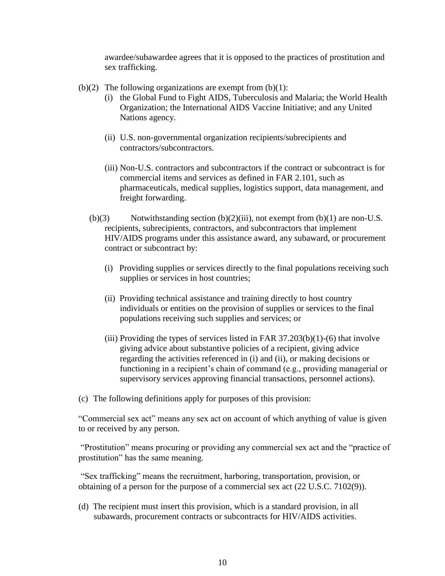awardee/subawardee agrees that it is opposed to the practices of prostitution and sex trafficking.

- (b)(2) The following organizations are exempt from  $(b)(1)$ :
	- (i) the Global Fund to Fight AIDS, Tuberculosis and Malaria; the World Health Organization; the International AIDS Vaccine Initiative; and any United Nations agency.
	- (ii) U.S. non-governmental organization recipients/subrecipients and contractors/subcontractors.
	- (iii) Non-U.S. contractors and subcontractors if the contract or subcontract is for commercial items and services as defined in FAR 2.101, such as pharmaceuticals, medical supplies, logistics support, data management, and freight forwarding.
	- (b)(3) Notwithstanding section (b)(2)(iii), not exempt from (b)(1) are non-U.S. recipients, subrecipients, contractors, and subcontractors that implement HIV/AIDS programs under this assistance award, any subaward, or procurement contract or subcontract by:
		- (i) Providing supplies or services directly to the final populations receiving such supplies or services in host countries;
		- (ii) Providing technical assistance and training directly to host country individuals or entities on the provision of supplies or services to the final populations receiving such supplies and services; or
		- (iii) Providing the types of services listed in FAR  $37.203(b)(1)-(6)$  that involve giving advice about substantive policies of a recipient, giving advice regarding the activities referenced in (i) and (ii), or making decisions or functioning in a recipient's chain of command (e.g., providing managerial or supervisory services approving financial transactions, personnel actions).
- (c) The following definitions apply for purposes of this provision:

"Commercial sex act" means any sex act on account of which anything of value is given to or received by any person.

"Prostitution" means procuring or providing any commercial sex act and the "practice of prostitution" has the same meaning.

"Sex trafficking" means the recruitment, harboring, transportation, provision, or obtaining of a person for the purpose of a commercial sex act (22 U.S.C. 7102(9)).

(d) The recipient must insert this provision, which is a standard provision, in all subawards, procurement contracts or subcontracts for HIV/AIDS activities.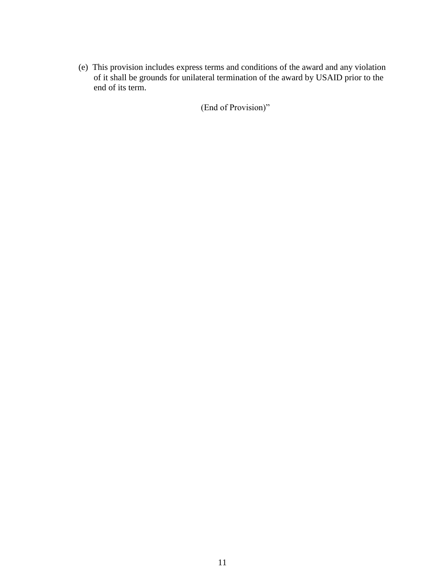(e) This provision includes express terms and conditions of the award and any violation of it shall be grounds for unilateral termination of the award by USAID prior to the end of its term.

(End of Provision)"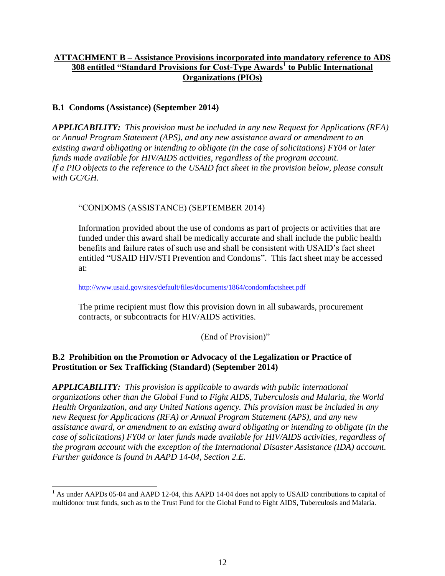# **ATTACHMENT B – Assistance Provisions incorporated into mandatory reference to ADS 308 entitled "Standard Provisions for Cost-Type Awards<sup>1</sup> to Public International Organizations (PIOs)**

## **B.1 Condoms (Assistance) (September 2014)**

 $\overline{a}$ 

*APPLICABILITY: This provision must be included in any new Request for Applications (RFA) or Annual Program Statement (APS), and any new assistance award or amendment to an existing award obligating or intending to obligate (in the case of solicitations) FY04 or later funds made available for HIV/AIDS activities, regardless of the program account. If a PIO objects to the reference to the USAID fact sheet in the provision below, please consult with GC/GH.*

"CONDOMS (ASSISTANCE) (SEPTEMBER 2014)

Information provided about the use of condoms as part of projects or activities that are funded under this award shall be medically accurate and shall include the public health benefits and failure rates of such use and shall be consistent with USAID's fact sheet entitled "USAID HIV/STI Prevention and Condoms". This fact sheet may be accessed at:

<http://www.usaid.gov/sites/default/files/documents/1864/condomfactsheet.pdf>

The prime recipient must flow this provision down in all subawards, procurement contracts, or subcontracts for HIV/AIDS activities.

## (End of Provision)"

## **B.2 Prohibition on the Promotion or Advocacy of the Legalization or Practice of Prostitution or Sex Trafficking (Standard) (September 2014)**

*APPLICABILITY: This provision is applicable to awards with public international organizations other than the Global Fund to Fight AIDS, Tuberculosis and Malaria, the World Health Organization, and any United Nations agency. This provision must be included in any new Request for Applications (RFA) or Annual Program Statement (APS), and any new assistance award, or amendment to an existing award obligating or intending to obligate (in the case of solicitations) FY04 or later funds made available for HIV/AIDS activities, regardless of the program account with the exception of the International Disaster Assistance (IDA) account. Further guidance is found in AAPD 14-04, Section 2.E.*

<sup>&</sup>lt;sup>1</sup> As under AAPDs 05-04 and AAPD 12-04, this AAPD 14-04 does not apply to USAID contributions to capital of multidonor trust funds, such as to the Trust Fund for the Global Fund to Fight AIDS, Tuberculosis and Malaria.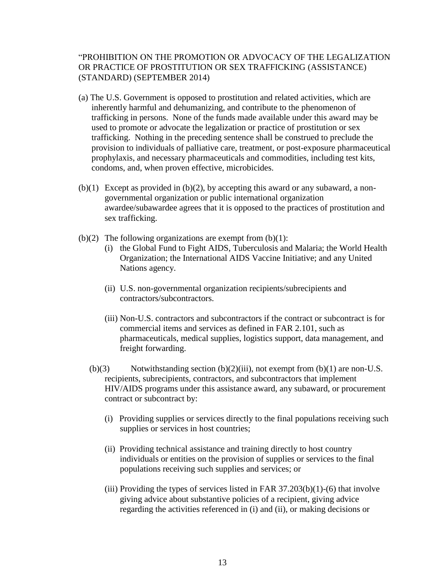#### "PROHIBITION ON THE PROMOTION OR ADVOCACY OF THE LEGALIZATION OR PRACTICE OF PROSTITUTION OR SEX TRAFFICKING (ASSISTANCE) (STANDARD) (SEPTEMBER 2014)

- (a) The U.S. Government is opposed to prostitution and related activities, which are inherently harmful and dehumanizing, and contribute to the phenomenon of trafficking in persons. None of the funds made available under this award may be used to promote or advocate the legalization or practice of prostitution or sex trafficking. Nothing in the preceding sentence shall be construed to preclude the provision to individuals of palliative care, treatment, or post-exposure pharmaceutical prophylaxis, and necessary pharmaceuticals and commodities, including test kits, condoms, and, when proven effective, microbicides.
- $(b)(1)$  Except as provided in  $(b)(2)$ , by accepting this award or any subaward, a nongovernmental organization or public international organization awardee/subawardee agrees that it is opposed to the practices of prostitution and sex trafficking.
- (b)(2) The following organizations are exempt from  $(b)(1)$ :
	- (i) the Global Fund to Fight AIDS, Tuberculosis and Malaria; the World Health Organization; the International AIDS Vaccine Initiative; and any United Nations agency.
	- (ii) U.S. non-governmental organization recipients/subrecipients and contractors/subcontractors.
	- (iii) Non-U.S. contractors and subcontractors if the contract or subcontract is for commercial items and services as defined in FAR 2.101, such as pharmaceuticals, medical supplies, logistics support, data management, and freight forwarding.
	- $(b)(3)$  Notwithstanding section  $(b)(2)(iii)$ , not exempt from  $(b)(1)$  are non-U.S. recipients, subrecipients, contractors, and subcontractors that implement HIV/AIDS programs under this assistance award, any subaward, or procurement contract or subcontract by:
		- (i) Providing supplies or services directly to the final populations receiving such supplies or services in host countries;
		- (ii) Providing technical assistance and training directly to host country individuals or entities on the provision of supplies or services to the final populations receiving such supplies and services; or
		- (iii) Providing the types of services listed in FAR  $37.203(b)(1)-(6)$  that involve giving advice about substantive policies of a recipient, giving advice regarding the activities referenced in (i) and (ii), or making decisions or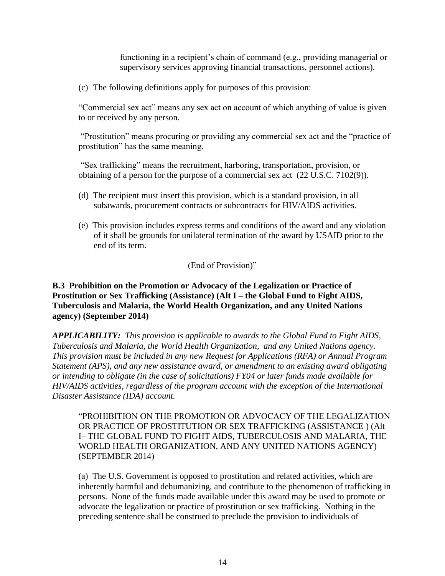functioning in a recipient's chain of command (e.g., providing managerial or supervisory services approving financial transactions, personnel actions).

(c) The following definitions apply for purposes of this provision:

"Commercial sex act" means any sex act on account of which anything of value is given to or received by any person.

"Prostitution" means procuring or providing any commercial sex act and the "practice of prostitution" has the same meaning.

"Sex trafficking" means the recruitment, harboring, transportation, provision, or obtaining of a person for the purpose of a commercial sex act (22 U.S.C. 7102(9)).

- (d) The recipient must insert this provision, which is a standard provision, in all subawards, procurement contracts or subcontracts for HIV/AIDS activities.
- (e) This provision includes express terms and conditions of the award and any violation of it shall be grounds for unilateral termination of the award by USAID prior to the end of its term.

(End of Provision)"

### **B.3 Prohibition on the Promotion or Advocacy of the Legalization or Practice of Prostitution or Sex Trafficking (Assistance) (Alt I – the Global Fund to Fight AIDS, Tuberculosis and Malaria, the World Health Organization, and any United Nations agency) (September 2014)**

*APPLICABILITY: This provision is applicable to awards to the Global Fund to Fight AIDS, Tuberculosis and Malaria, the World Health Organization, and any United Nations agency. This provision must be included in any new Request for Applications (RFA) or Annual Program Statement (APS), and any new assistance award, or amendment to an existing award obligating or intending to obligate (in the case of solicitations) FY04 or later funds made available for HIV/AIDS activities, regardless of the program account with the exception of the International Disaster Assistance (IDA) account.*

"PROHIBITION ON THE PROMOTION OR ADVOCACY OF THE LEGALIZATION OR PRACTICE OF PROSTITUTION OR SEX TRAFFICKING (ASSISTANCE ) (Alt I– THE GLOBAL FUND TO FIGHT AIDS, TUBERCULOSIS AND MALARIA, THE WORLD HEALTH ORGANIZATION, AND ANY UNITED NATIONS AGENCY) (SEPTEMBER 2014)

(a) The U.S. Government is opposed to prostitution and related activities, which are inherently harmful and dehumanizing, and contribute to the phenomenon of trafficking in persons. None of the funds made available under this award may be used to promote or advocate the legalization or practice of prostitution or sex trafficking. Nothing in the preceding sentence shall be construed to preclude the provision to individuals of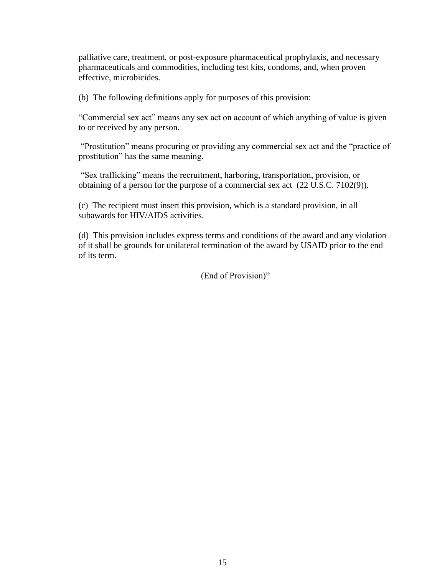palliative care, treatment, or post-exposure pharmaceutical prophylaxis, and necessary pharmaceuticals and commodities, including test kits, condoms, and, when proven effective, microbicides.

(b) The following definitions apply for purposes of this provision:

"Commercial sex act" means any sex act on account of which anything of value is given to or received by any person.

"Prostitution" means procuring or providing any commercial sex act and the "practice of prostitution" has the same meaning.

"Sex trafficking" means the recruitment, harboring, transportation, provision, or obtaining of a person for the purpose of a commercial sex act (22 U.S.C. 7102(9)).

(c) The recipient must insert this provision, which is a standard provision, in all subawards for HIV/AIDS activities.

(d) This provision includes express terms and conditions of the award and any violation of it shall be grounds for unilateral termination of the award by USAID prior to the end of its term.

(End of Provision)"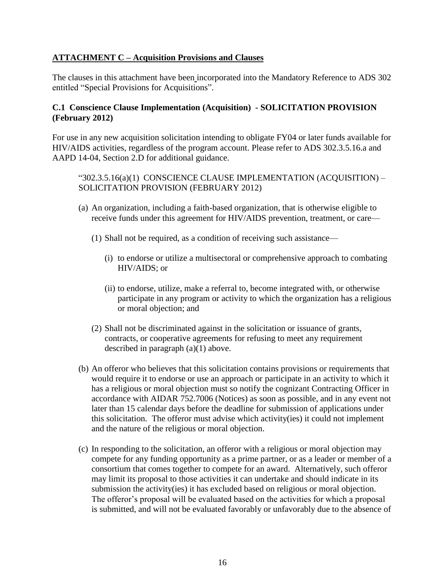## **ATTACHMENT C – Acquisition Provisions and Clauses**

The clauses in this attachment have been incorporated into the Mandatory Reference to ADS 302 entitled "Special Provisions for Acquisitions".

## **C.1 Conscience Clause Implementation (Acquisition) - SOLICITATION PROVISION (February 2012)**

For use in any new acquisition solicitation intending to obligate FY04 or later funds available for HIV/AIDS activities, regardless of the program account. Please refer to ADS 302.3.5.16.a and AAPD 14-04, Section 2.D for additional guidance.

"302.3.5.16(a)(1) CONSCIENCE CLAUSE IMPLEMENTATION (ACQUISITION) – SOLICITATION PROVISION (FEBRUARY 2012)

- (a) An organization, including a faith-based organization, that is otherwise eligible to receive funds under this agreement for HIV/AIDS prevention, treatment, or care—
	- (1) Shall not be required, as a condition of receiving such assistance—
		- (i) to endorse or utilize a multisectoral or comprehensive approach to combating HIV/AIDS; or
		- (ii) to endorse, utilize, make a referral to, become integrated with, or otherwise participate in any program or activity to which the organization has a religious or moral objection; and
	- (2) Shall not be discriminated against in the solicitation or issuance of grants, contracts, or cooperative agreements for refusing to meet any requirement described in paragraph (a)(1) above.
- (b) An offeror who believes that this solicitation contains provisions or requirements that would require it to endorse or use an approach or participate in an activity to which it has a religious or moral objection must so notify the cognizant Contracting Officer in accordance with AIDAR 752.7006 (Notices) as soon as possible, and in any event not later than 15 calendar days before the deadline for submission of applications under this solicitation. The offeror must advise which activity(ies) it could not implement and the nature of the religious or moral objection.
- (c) In responding to the solicitation, an offeror with a religious or moral objection may compete for any funding opportunity as a prime partner, or as a leader or member of a consortium that comes together to compete for an award. Alternatively, such offeror may limit its proposal to those activities it can undertake and should indicate in its submission the activity(ies) it has excluded based on religious or moral objection. The offeror's proposal will be evaluated based on the activities for which a proposal is submitted, and will not be evaluated favorably or unfavorably due to the absence of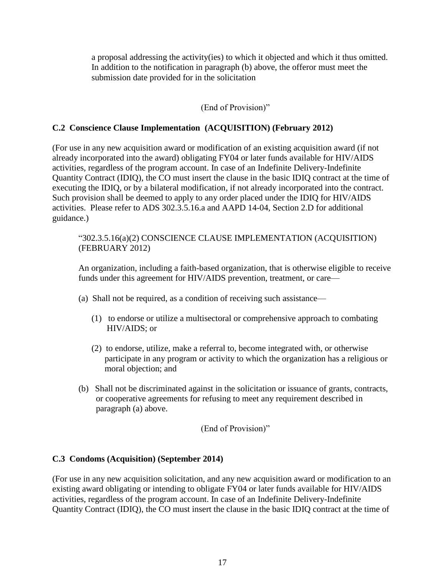a proposal addressing the activity(ies) to which it objected and which it thus omitted. In addition to the notification in paragraph (b) above, the offeror must meet the submission date provided for in the solicitation

### (End of Provision)"

### **C.2 Conscience Clause Implementation (ACQUISITION) (February 2012)**

(For use in any new acquisition award or modification of an existing acquisition award (if not already incorporated into the award) obligating FY04 or later funds available for HIV/AIDS activities, regardless of the program account. In case of an Indefinite Delivery-Indefinite Quantity Contract (IDIQ), the CO must insert the clause in the basic IDIQ contract at the time of executing the IDIQ, or by a bilateral modification, if not already incorporated into the contract. Such provision shall be deemed to apply to any order placed under the IDIQ for HIV/AIDS activities. Please refer to ADS 302.3.5.16.a and AAPD 14-04, Section 2.D for additional guidance.)

"302.3.5.16(a)(2) CONSCIENCE CLAUSE IMPLEMENTATION (ACQUISITION) (FEBRUARY 2012)

An organization, including a faith-based organization, that is otherwise eligible to receive funds under this agreement for HIV/AIDS prevention, treatment, or care—

- (a) Shall not be required, as a condition of receiving such assistance—
	- (1) to endorse or utilize a multisectoral or comprehensive approach to combating HIV/AIDS; or
	- (2) to endorse, utilize, make a referral to, become integrated with, or otherwise participate in any program or activity to which the organization has a religious or moral objection; and
- (b) Shall not be discriminated against in the solicitation or issuance of grants, contracts, or cooperative agreements for refusing to meet any requirement described in paragraph (a) above.

(End of Provision)"

#### **C.3 Condoms (Acquisition) (September 2014)**

(For use in any new acquisition solicitation, and any new acquisition award or modification to an existing award obligating or intending to obligate FY04 or later funds available for HIV/AIDS activities, regardless of the program account. In case of an Indefinite Delivery-Indefinite Quantity Contract (IDIQ), the CO must insert the clause in the basic IDIQ contract at the time of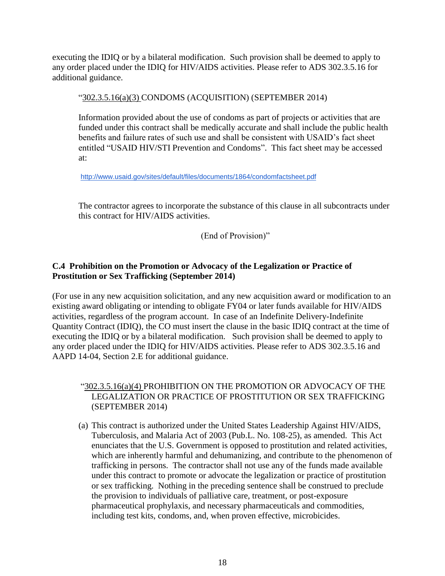executing the IDIQ or by a bilateral modification. Such provision shall be deemed to apply to any order placed under the IDIQ for HIV/AIDS activities. Please refer to ADS 302.3.5.16 for additional guidance.

"302.3.5.16(a)(3) CONDOMS (ACQUISITION) (SEPTEMBER 2014)

Information provided about the use of condoms as part of projects or activities that are funded under this contract shall be medically accurate and shall include the public health benefits and failure rates of such use and shall be consistent with USAID's fact sheet entitled "USAID HIV/STI Prevention and Condoms". This fact sheet may be accessed at:

<http://www.usaid.gov/sites/default/files/documents/1864/condomfactsheet.pdf>

The contractor agrees to incorporate the substance of this clause in all subcontracts under this contract for HIV/AIDS activities.

(End of Provision)"

# **C.4 Prohibition on the Promotion or Advocacy of the Legalization or Practice of Prostitution or Sex Trafficking (September 2014)**

(For use in any new acquisition solicitation, and any new acquisition award or modification to an existing award obligating or intending to obligate FY04 or later funds available for HIV/AIDS activities, regardless of the program account. In case of an Indefinite Delivery-Indefinite Quantity Contract (IDIQ), the CO must insert the clause in the basic IDIQ contract at the time of executing the IDIQ or by a bilateral modification. Such provision shall be deemed to apply to any order placed under the IDIQ for HIV/AIDS activities. Please refer to ADS 302.3.5.16 and AAPD 14-04, Section 2.E for additional guidance.

# "302.3.5.16(a)(4) PROHIBITION ON THE PROMOTION OR ADVOCACY OF THE LEGALIZATION OR PRACTICE OF PROSTITUTION OR SEX TRAFFICKING (SEPTEMBER 2014)

(a) This contract is authorized under the United States Leadership Against HIV/AIDS, Tuberculosis, and Malaria Act of 2003 (Pub.L. No. 108-25), as amended. This Act enunciates that the U.S. Government is opposed to prostitution and related activities, which are inherently harmful and dehumanizing, and contribute to the phenomenon of trafficking in persons. The contractor shall not use any of the funds made available under this contract to promote or advocate the legalization or practice of prostitution or sex trafficking. Nothing in the preceding sentence shall be construed to preclude the provision to individuals of palliative care, treatment, or post-exposure pharmaceutical prophylaxis, and necessary pharmaceuticals and commodities, including test kits, condoms, and, when proven effective, microbicides.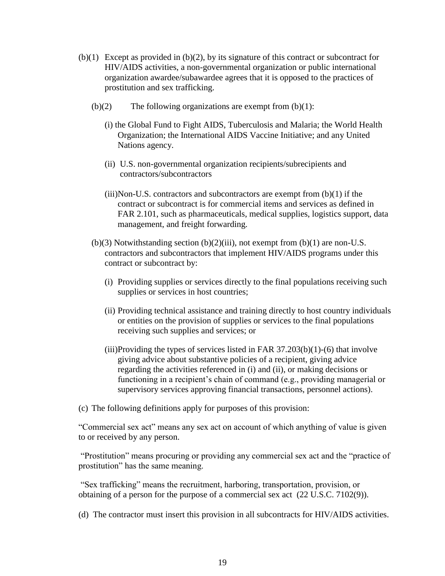- $(b)(1)$  Except as provided in  $(b)(2)$ , by its signature of this contract or subcontract for HIV/AIDS activities, a non-governmental organization or public international organization awardee/subawardee agrees that it is opposed to the practices of prostitution and sex trafficking.
	- $(b)(2)$  The following organizations are exempt from  $(b)(1)$ :
		- (i) the Global Fund to Fight AIDS, Tuberculosis and Malaria; the World Health Organization; the International AIDS Vaccine Initiative; and any United Nations agency.
		- (ii) U.S. non-governmental organization recipients/subrecipients and contractors/subcontractors
		- $(iii)$ Non-U.S. contractors and subcontractors are exempt from  $(b)(1)$  if the contract or subcontract is for commercial items and services as defined in FAR 2.101, such as pharmaceuticals, medical supplies, logistics support, data management, and freight forwarding.
	- $(b)(3)$  Notwithstanding section  $(b)(2)(iii)$ , not exempt from  $(b)(1)$  are non-U.S. contractors and subcontractors that implement HIV/AIDS programs under this contract or subcontract by:
		- (i) Providing supplies or services directly to the final populations receiving such supplies or services in host countries;
		- (ii) Providing technical assistance and training directly to host country individuals or entities on the provision of supplies or services to the final populations receiving such supplies and services; or
		- (iii)Providing the types of services listed in FAR  $37.203(b)(1)-(6)$  that involve giving advice about substantive policies of a recipient, giving advice regarding the activities referenced in (i) and (ii), or making decisions or functioning in a recipient's chain of command (e.g., providing managerial or supervisory services approving financial transactions, personnel actions).
- (c) The following definitions apply for purposes of this provision:

"Commercial sex act" means any sex act on account of which anything of value is given to or received by any person.

"Prostitution" means procuring or providing any commercial sex act and the "practice of prostitution" has the same meaning.

"Sex trafficking" means the recruitment, harboring, transportation, provision, or obtaining of a person for the purpose of a commercial sex act (22 U.S.C. 7102(9)).

(d) The contractor must insert this provision in all subcontracts for HIV/AIDS activities.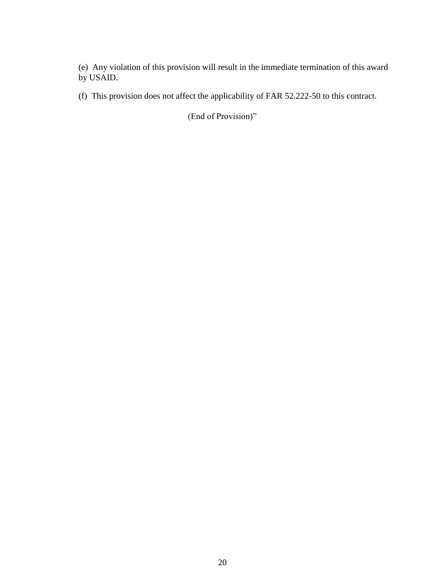(e) Any violation of this provision will result in the immediate termination of this award by USAID.

(f) This provision does not affect the applicability of FAR 52.222-50 to this contract.

(End of Provision)"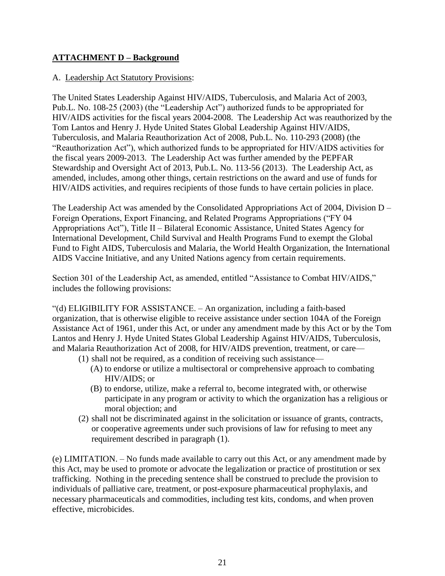# **ATTACHMENT D – Background**

#### A. Leadership Act Statutory Provisions:

The United States Leadership Against HIV/AIDS, Tuberculosis, and Malaria Act of 2003, Pub.L. No. 108-25 (2003) (the "Leadership Act") authorized funds to be appropriated for HIV/AIDS activities for the fiscal years 2004-2008. The Leadership Act was reauthorized by the Tom Lantos and Henry J. Hyde United States Global Leadership Against HIV/AIDS, Tuberculosis, and Malaria Reauthorization Act of 2008, Pub.L. No. 110-293 (2008) (the "Reauthorization Act"), which authorized funds to be appropriated for HIV/AIDS activities for the fiscal years 2009-2013. The Leadership Act was further amended by the PEPFAR Stewardship and Oversight Act of 2013, Pub.L. No. 113-56 (2013). The Leadership Act, as amended, includes, among other things, certain restrictions on the award and use of funds for HIV/AIDS activities, and requires recipients of those funds to have certain policies in place.

The Leadership Act was amended by the Consolidated Appropriations Act of 2004, Division D – Foreign Operations, Export Financing, and Related Programs Appropriations ("FY 04 Appropriations Act"), Title II – Bilateral Economic Assistance, United States Agency for International Development, Child Survival and Health Programs Fund to exempt the Global Fund to Fight AIDS, Tuberculosis and Malaria, the World Health Organization, the International AIDS Vaccine Initiative, and any United Nations agency from certain requirements.

Section 301 of the Leadership Act, as amended, entitled "Assistance to Combat HIV/AIDS," includes the following provisions:

"(d) ELIGIBILITY FOR ASSISTANCE. – An organization, including a faith-based organization, that is otherwise eligible to receive assistance under section 104A of the Foreign Assistance Act of 1961, under this Act, or under any amendment made by this Act or by the Tom Lantos and Henry J. Hyde United States Global Leadership Against HIV/AIDS, Tuberculosis, and Malaria Reauthorization Act of 2008, for HIV/AIDS prevention, treatment, or care—

- (1) shall not be required, as a condition of receiving such assistance—
	- (A) to endorse or utilize a multisectoral or comprehensive approach to combating HIV/AIDS; or
	- (B) to endorse, utilize, make a referral to, become integrated with, or otherwise participate in any program or activity to which the organization has a religious or moral objection; and
- (2) shall not be discriminated against in the solicitation or issuance of grants, contracts, or cooperative agreements under such provisions of law for refusing to meet any requirement described in paragraph (1).

(e) LIMITATION. – No funds made available to carry out this Act, or any amendment made by this Act, may be used to promote or advocate the legalization or practice of prostitution or sex trafficking. Nothing in the preceding sentence shall be construed to preclude the provision to individuals of palliative care, treatment, or post-exposure pharmaceutical prophylaxis, and necessary pharmaceuticals and commodities, including test kits, condoms, and when proven effective, microbicides.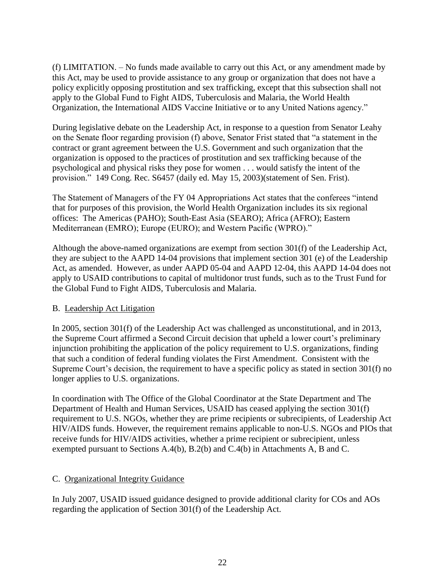(f) LIMITATION. – No funds made available to carry out this Act, or any amendment made by this Act, may be used to provide assistance to any group or organization that does not have a policy explicitly opposing prostitution and sex trafficking, except that this subsection shall not apply to the Global Fund to Fight AIDS, Tuberculosis and Malaria, the World Health Organization, the International AIDS Vaccine Initiative or to any United Nations agency."

During legislative debate on the Leadership Act, in response to a question from Senator Leahy on the Senate floor regarding provision (f) above, Senator Frist stated that "a statement in the contract or grant agreement between the U.S. Government and such organization that the organization is opposed to the practices of prostitution and sex trafficking because of the psychological and physical risks they pose for women . . . would satisfy the intent of the provision." 149 Cong. Rec. S6457 (daily ed. May 15, 2003)(statement of Sen. Frist).

The Statement of Managers of the FY 04 Appropriations Act states that the conferees "intend that for purposes of this provision, the World Health Organization includes its six regional offices: The Americas (PAHO); South-East Asia (SEARO); Africa (AFRO); Eastern Mediterranean (EMRO); Europe (EURO); and Western Pacific (WPRO)."

Although the above-named organizations are exempt from section 301(f) of the Leadership Act, they are subject to the AAPD 14-04 provisions that implement section 301 (e) of the Leadership Act, as amended. However, as under AAPD 05-04 and AAPD 12-04, this AAPD 14-04 does not apply to USAID contributions to capital of multidonor trust funds, such as to the Trust Fund for the Global Fund to Fight AIDS, Tuberculosis and Malaria.

## B. Leadership Act Litigation

In 2005, section 301(f) of the Leadership Act was challenged as unconstitutional, and in 2013, the Supreme Court affirmed a Second Circuit decision that upheld a lower court's preliminary injunction prohibiting the application of the policy requirement to U.S. organizations, finding that such a condition of federal funding violates the First Amendment. Consistent with the Supreme Court's decision, the requirement to have a specific policy as stated in section 301(f) no longer applies to U.S. organizations.

In coordination with The Office of the Global Coordinator at the State Department and The Department of Health and Human Services, USAID has ceased applying the section 301(f) requirement to U.S. NGOs, whether they are prime recipients or subrecipients, of Leadership Act HIV/AIDS funds. However, the requirement remains applicable to non-U.S. NGOs and PIOs that receive funds for HIV/AIDS activities, whether a prime recipient or subrecipient, unless exempted pursuant to Sections A.4(b), B.2(b) and C.4(b) in Attachments A, B and C.

#### C. Organizational Integrity Guidance

In July 2007, USAID issued guidance designed to provide additional clarity for COs and AOs regarding the application of Section 301(f) of the Leadership Act.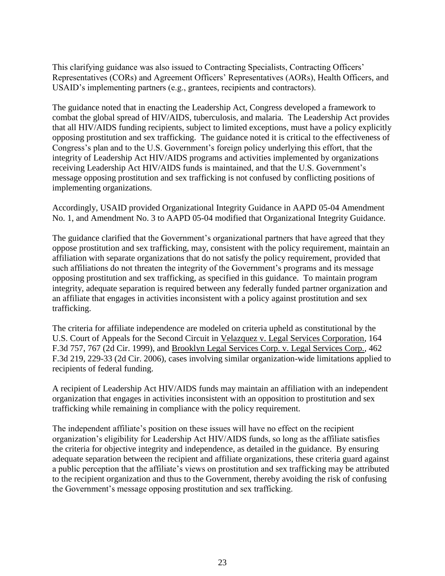This clarifying guidance was also issued to Contracting Specialists, Contracting Officers' Representatives (CORs) and Agreement Officers' Representatives (AORs), Health Officers, and USAID's implementing partners (e.g., grantees, recipients and contractors).

The guidance noted that in enacting the Leadership Act, Congress developed a framework to combat the global spread of HIV/AIDS, tuberculosis, and malaria. The Leadership Act provides that all HIV/AIDS funding recipients, subject to limited exceptions, must have a policy explicitly opposing prostitution and sex trafficking. The guidance noted it is critical to the effectiveness of Congress's plan and to the U.S. Government's foreign policy underlying this effort, that the integrity of Leadership Act HIV/AIDS programs and activities implemented by organizations receiving Leadership Act HIV/AIDS funds is maintained, and that the U.S. Government's message opposing prostitution and sex trafficking is not confused by conflicting positions of implementing organizations.

Accordingly, USAID provided Organizational Integrity Guidance in AAPD 05-04 Amendment No. 1, and Amendment No. 3 to AAPD 05-04 modified that Organizational Integrity Guidance.

The guidance clarified that the Government's organizational partners that have agreed that they oppose prostitution and sex trafficking, may, consistent with the policy requirement, maintain an affiliation with separate organizations that do not satisfy the policy requirement, provided that such affiliations do not threaten the integrity of the Government's programs and its message opposing prostitution and sex trafficking, as specified in this guidance. To maintain program integrity, adequate separation is required between any federally funded partner organization and an affiliate that engages in activities inconsistent with a policy against prostitution and sex trafficking.

The criteria for affiliate independence are modeled on criteria upheld as constitutional by the U.S. Court of Appeals for the Second Circuit in Velazquez v. Legal Services Corporation, 164 F.3d 757, 767 (2d Cir. 1999), and Brooklyn Legal Services Corp. v. Legal Services Corp., 462 F.3d 219, 229-33 (2d Cir. 2006), cases involving similar organization-wide limitations applied to recipients of federal funding.

A recipient of Leadership Act HIV/AIDS funds may maintain an affiliation with an independent organization that engages in activities inconsistent with an opposition to prostitution and sex trafficking while remaining in compliance with the policy requirement.

The independent affiliate's position on these issues will have no effect on the recipient organization's eligibility for Leadership Act HIV/AIDS funds, so long as the affiliate satisfies the criteria for objective integrity and independence, as detailed in the guidance. By ensuring adequate separation between the recipient and affiliate organizations, these criteria guard against a public perception that the affiliate's views on prostitution and sex trafficking may be attributed to the recipient organization and thus to the Government, thereby avoiding the risk of confusing the Government's message opposing prostitution and sex trafficking.